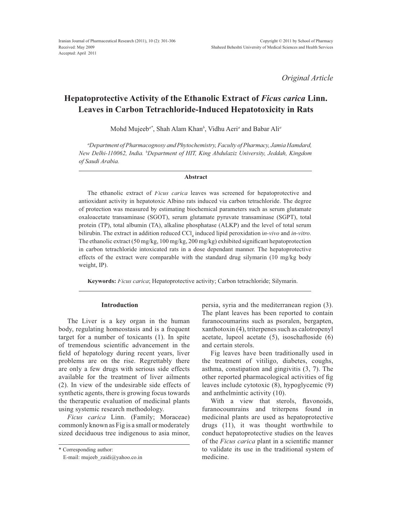*Original Article*

# **Hepatoprotective Activity of the Ethanolic Extract of** *Ficus carica* **Linn. Leaves in Carbon Tetrachloride-Induced Hepatotoxicity in Rats**

Mohd Mujeeb*a\**, Shah Alam Khan*<sup>b</sup>* , Vidhu Aeri*<sup>a</sup>* and Babar Ali*<sup>a</sup>*

*a Department of Pharmacognosy and Phytochemistry, Faculty of Pharmacy, Jamia Hamdard, 1HZ'HOKL,QGLD <sup>b</sup> Department of HIT, King Abdulaziz University, Jeddah, Kingdom of Saudi Arabia.*

#### **Abstract**

The ethanolic extract of *Ficus carica* leaves was screened for hepatoprotective and antioxidant activity in hepatotoxic Albino rats induced via carbon tetrachloride. The degree of protection was measured by estimating biochemical parameters such as serum glutamate oxaloacetate transaminase (SGOT), serum glutamate pyruvate transaminase (SGPT), total protein (TP), total albumin (TA), alkaline phosphatase (ALKP) and the level of total serum bilirubin. The extract in addition reduced CCl <sup>4</sup> induced lipid peroxidation i*n-vivo* and *in-vitro*. The ethanolic extract  $(50 \text{ mg/kg}, 100 \text{ mg/kg}, 200 \text{ mg/kg})$  exhibited significant hepatoprotection in carbon tetrachloride intoxicated rats in a dose dependant manner. The hepatoprotective effects of the extract were comparable with the standard drug silymarin (10 mg/kg body weight, IP).

**Keywords:** *Ficus carica*; Hepatoprotective activity; Carbon tetrachloride; Silymarin.

## **Introduction**

The Liver is a key organ in the human body, regulating homeostasis and is a frequent target for a number of toxicants (1). In spite of tremendous scientific advancement in the field of hepatology during recent years, liver problems are on the rise. Regrettably there are only a few drugs with serious side effects available for the treatment of liver ailments (2). In view of the undesirable side effects of synthetic agents, there is growing focus towards the therapeutic evaluation of medicinal plants using systemic research methodology.

*Ficus carica* Linn. (Family; Moraceae) commonly known as Fig is a small or moderately sized deciduous tree indigenous to asia minor,

\* Corresponding author:

persia, syria and the mediterranean region (3). The plant leaves has been reported to contain furanocoumarins such as psoralen, bergapten, xanthotoxin (4), triterpenes such as calotropenyl acetate, lupeol acetate (5), isoschaftoside (6) and certain sterols.

Fig leaves have been traditionally used in the treatment of vitiligo, diabetes, coughs, asthma, constipation and gingivitis (3, 7). The other reported pharmacological activities of fig. leaves include cytotoxic (8), hypoglycemic (9) and anthelmintic activity (10).

With a view that sterols, flavonoids, furanocoumrains and triterpens found in medicinal plants are used as hepatoprotective drugs (11), it was thought worthwhile to conduct hepatoprotective studies on the leaves of the *Ficus carica* plant in a scientific manner to validate its use in the traditional system of medicine.

E-mail: mujeeb\_zaidi@yahoo.co.in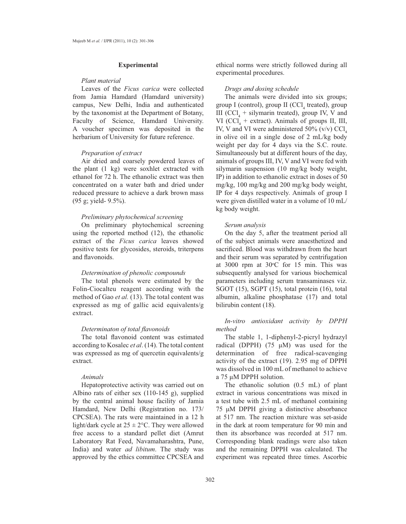# **Experimental**

# *Plant material*

Leaves of the *Ficus carica* were collected from Jamia Hamdard (Hamdard university) campus, New Delhi, India and authenticated by the taxonomist at the Department of Botany, Faculty of Science, Hamdard University. A voucher specimen was deposited in the herbarium of University for future reference.

## *Preparation of extract*

Air dried and coarsely powdered leaves of the plant (1 kg) were soxhlet extracted with ethanol for 72 h. The ethanolic extract was then concentrated on a water bath and dried under reduced pressure to achieve a dark brown mass (95 g; yield- 9.5%).

# *Preliminary phytochemical screening*

On preliminary phytochemical screening using the reported method (12), the ethanolic extract of the *Ficus carica* leaves showed positive tests for glycosides, steroids, triterpens and flavonoids.

## *Determination of phenolic compounds*

The total phenols were estimated by the Folin-Ciocalteu reagent according with the method of Gao *et al.* (13). The total content was expressed as mg of gallic acid equivalents/g extract.

#### Determinaton of total flavonoids

The total flavonoid content was estimated according to Kosalec *et al*. (14). The total content was expressed as mg of quercetin equivalents/g extract.

#### *Animals*

Hepatoprotective activity was carried out on Albino rats of either sex (110-145 g), supplied by the central animal house facility of Jamia Hamdard, New Delhi (Registration no. 173/ CPCSEA). The rats were maintained in a 12 h light/dark cycle at  $25 \pm 2$ °C. They were allowed free access to a standard pellet diet (Amrut Laboratory Rat Feed, Navamaharashtra, Pune, India) and water *ad libitum*. The study was approved by the ethics committee CPCSEA and

ethical norms were strictly followed during all experimental procedures.

#### *Drugs and dosing schedule*

The animals were divided into six groups; group I (control), group II (CCl<sub>4</sub> treated), group III (CCl<sub>4</sub> + silymarin treated), group IV, V and VI ( $\text{CCl}_4$  + extract). Animals of groups II, III, IV, V and VI were administered  $50\%$  (v/v) CCl. in olive oil in a single dose of  $2 \text{ mL/kg}$  body weight per day for 4 days via the S.C. route. Simultaneously but at different hours of the day, animals of groups III, IV, V and VI were fed with silymarin suspension (10 mg/kg body weight, IP) in addition to ethanolic extract in doses of 50 mg/kg, 100 mg/kg and 200 mg/kg body weight, IP for 4 days respectively. Animals of group I were given distilled water in a volume of 10 mL/ kg body weight.

## *Serum analysis*

On the day 5, after the treatment period all of the subject animals were anaesthetized and sacrificed. Blood was withdrawn from the heart and their serum was separated by centrifugation at 3000 rpm at 30 $\degree$ C for 15 min. This was subsequently analysed for various biochemical parameters including serum transaminases viz. SGOT (15), SGPT (15), total protein (16), total albumin, alkaline phosphatase (17) and total bilirubin content (18).

# *In-vitro antioxidant activity by DPPH method*

The stable 1, 1-diphenyl-2-picryl hydrazyl radical (DPPH)  $(75 \mu M)$  was used for the determination of free radical-scavenging activity of the extract (19). 2.95 mg of DPPH was dissolved in 100 mL of methanol to achieve a 75 µM DPPH solution.

The ethanolic solution  $(0.5 \text{ mL})$  of plant extract in various concentrations was mixed in a test tube with 2.5 mL of methanol containing 75 µM DPPH giving a distinctive absorbance at 517 nm. The reaction mixture was set-aside in the dark at room temperature for 90 min and then its absorbance was recorded at 517 nm. Corresponding blank readings were also taken and the remaining DPPH was calculated. The experiment was repeated three times. Ascorbic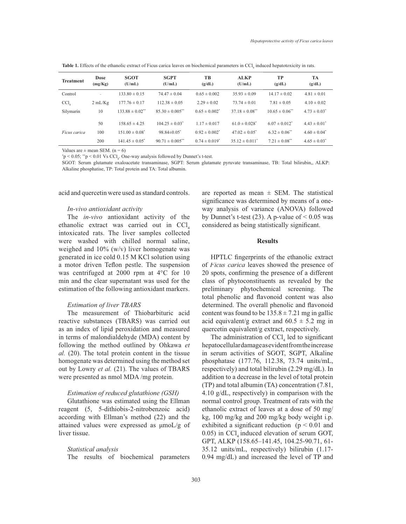**Table 1.** Effects of the ethanolic extract of Ficus carica leaves on biochemical parameters in CCl<sub>4</sub> induced hepatotoxicity in rats.

| <b>Treatment</b> | Dose<br>(mg/Kg) | <b>SGOT</b><br>(U/mL)          | <b>SGPT</b><br>(U/mL)           | <b>TB</b><br>(g/dL)           | <b>ALKP</b><br>(U/mL)          | TP<br>(g/dL)                   | <b>TA</b><br>(g/dL) |
|------------------|-----------------|--------------------------------|---------------------------------|-------------------------------|--------------------------------|--------------------------------|---------------------|
| Control          | $\sim$          | $133.80 \pm 0.15$              | $74.47 \pm 0.04$                | $0.65 \pm 0.002$              | $35.93 \pm 0.09$               | $14.17 \pm 0.02$               | $4.81 \pm 0.01$     |
| CCl              | 2 mL/Kg         | $177.76 \pm 0.17$              | $112.38 \pm 0.05$               | $2.29 \pm 0.02$               | $73.74 \pm 0.01$               | $7.81 \pm 0.05$                | $4.10 \pm 0.02$     |
| Silymarin        | 10              | $133.88 \pm 0.02$ **           | $85.30 \pm 0.005$ **            | $0.65 \pm 0.002$ <sup>*</sup> | $37.18 \pm 0.08$ **            | $10.65 \pm 0.06$ <sup>**</sup> | $4.73 \pm 0.03^*$   |
|                  | 50              | $158.65 \pm 4.25$              | $104.25 \pm 0.03^*$             | $1.17 \pm 0.017$              | $61.0 \pm 0.028$ <sup>*</sup>  | $6.07 \pm 0.012^*$             | $4.43 \pm 0.01^*$   |
| Ficus carica     | 100             | $151.00 \pm 0.08^*$            | $98.84 \pm 0.05^*$              | $0.92 \pm 0.002$ <sup>*</sup> | $47.02 \pm 0.05$ <sup>*</sup>  | $6.32 \pm 0.06$ <sup>**</sup>  | $4.60 \pm 0.04^*$   |
|                  | 200             | $141.45 \pm 0.05$ <sup>*</sup> | $90.71 \pm 0.005$ <sup>**</sup> | $0.74 \pm 0.019$ <sup>*</sup> | $35.12 \pm 0.011$ <sup>*</sup> | $7.21 \pm 0.08$ <sup>**</sup>  | $4.65 \pm 0.03^*$   |

Values are  $\pm$  mean SEM. (n = 6)

 $p^*$   $\geq 0.05$ ;  $p^*$   $\geq 0.01$  Vs CCl<sub>4</sub>. One-way analysis followed by Dunnet's t-test.

SGOT: Serum glutamate oxaloacetate transaminase, SGPT: Serum glutamate pyruvate transaminase, TB: Total bilirubin,, ALKP: Alkaline phosphatise, TP: Total protein and TA: Total albumin.

acid and quercetin were used as standard controls.

#### *In-vivo antioxidant activity*

The *in-vivo* antioxidant activity of the ethanolic extract was carried out in  $\text{CC}l_{\mu}$ intoxicated rats. The liver samples collected were washed with chilled normal saline, weighed and  $10\%$  (w/v) liver homogenate was generated in ice cold 0.15 M KCl solution using a motor driven Teflon pestle. The suspension was centrifuged at 2000 rpm at  $4^{\circ}$ C for 10 min and the clear supernatant was used for the estimation of the following antioxidant markers.

#### *Estimation of liver TBARS*

The measurement of Thiobarbituric acid reactive substances (TBARS) was carried out as an index of lipid peroxidation and measured in terms of malondialdehyde (MDA) content by following the method outlined by Ohkawa *et al.* (20). The total protein content in the tissue homogenate was determined using the method set out by Lowry et al. (21). The values of TBARS were presented as nmol MDA /mg protein.

## *Estimation of reduced glutathione (GSH)*

Glutathione was estimated using the Ellman reagent (5, 5-dithiobis-2-nitrobenzoic acid) according with Ellman's method (22) and the attained values were expressed as  $\mu$ moL/g of liver tissue.

#### *Statistical analysis*

The results of biochemical parameters

are reported as mean  $\pm$  SEM. The statistical significance was determined by means of a oneway analysis of variance (ANOVA) followed by Dunnet's t-test (23). A p-value of  $\leq 0.05$  was considered as being statistically significant.

## **Results**

HPTLC fingerprints of the ethanolic extract of *Ficus carica* leaves showed the presence of 20 spots, confirming the presence of a different class of phytoconstituents as revealed by the preliminary phytochemical screening. The total phenolic and flavonoid content was also determined. The overall phenolic and flavonoid content was found to be  $135.8 \pm 7.21$  mg in gallic acid equivalent/g extract and  $60.5 \pm 5.2$  mg in quercetin equivalent/g extract, respectively.

The administration of  $\text{CCl}_4$  led to significant hepatocellular damage as evident from the increase in serum activities of SGOT, SGPT, Alkaline phosphatase  $(177.76, 112.38, 73.74 \text{ units/mL}$ , respectively) and total bilirubin  $(2.29 \text{ mg/dL})$ . In addition to a decrease in the level of total protein (TP) and total albumin (TA) concentration (7.81, 4.10  $g/dL$ , respectively) in comparison with the normal control group. Treatment of rats with the ethanolic extract of leaves at a dose of 50 mg/ kg, 100 mg/kg and 200 mg/kg body weight i.p. exhibited a significant reduction ( $p < 0.01$  and  $0.05$ ) in CCl<sub>4</sub> induced elevation of serum GOT, GPT, ALKP (158.65-141.45, 104.25-90.71, 61- $35.12$  units/mL, respectively) bilirubin  $(1.17$ - $0.94 \text{ mg/dL}$  and increased the level of TP and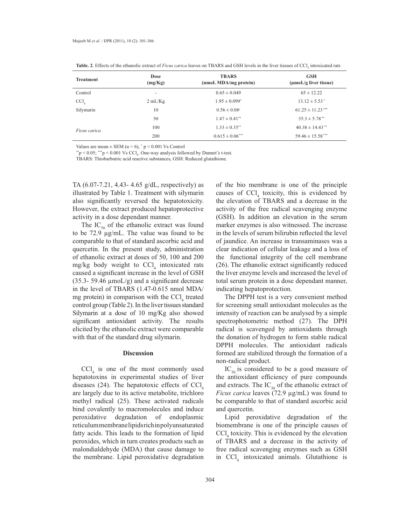| <b>Treatment</b>   | Dose<br>(mg/Kg) | <b>TBARS</b><br>(nmoL MDA/mg protein) | <b>GSH</b><br>$(\mu \text{mol}/g)$ liver tissue) |
|--------------------|-----------------|---------------------------------------|--------------------------------------------------|
| Control            | ٠               | $0.65 \pm 0.049$                      | $65 \pm 12.22$                                   |
| $CCl$ <sub>4</sub> | 2 mL/Kg         | $1.95 \pm 0.099^*$                    | $13.12 \pm 5.53$ <sup>*</sup>                    |
| Silymarin          | 10              | $0.56 \pm 0.08$ <sup>c</sup>          | $61.25 \pm 11.23$ ***                            |
|                    | 50              | $1.47 \pm 0.41$ <sup>**</sup>         | $35.3 \pm 5.78$ <sup>**</sup>                    |
| Ficus carica       | 100             | $1.33 \pm 0.35$ **                    | $40.38 \pm 14.43$ <sup>**</sup>                  |
|                    | 200             | $0.615 \pm 0.06***$                   | $59.46 \pm 15.58***$                             |

**Table. 2**. Effects of the ethanolic extract of *Ficus carica* leaves on TBARS and GSH levels in the liver tissues of CCl<sub>4</sub> intoxicated rats

Values are mean  $\pm$  SEM (n = 6),  $\degree$  p < 0.001 Vs Control

 $*^*p < 0.05;$   $**^*p < 0.001$  Vs CCl<sub>4</sub>. One-way analysis followed by Dunnet's t-test.

TBARS: Thiobarbutric acid reactive substances, GSH: Reduced glutathione*.*

TA  $(6.07 - 7.21, 4.43 - 4.65 \text{ g/dL},$  respectively) as illustrated by Table 1. Treatment with silymarin also significantly reversed the hepatotoxicity. However, the extract produced hepatoprotective activity in a dose dependant manner.

The  $IC_{50}$  of the ethanolic extract was found to be  $72.9 \mu$ g/mL. The value was found to be comparable to that of standard ascorbic acid and quercetin. In the present study, administration of ethanolic extract at doses of 50, 100 and 200 mg/kg body weight to CCl 4 intoxicated rats caused a significant increase in the level of GSH  $(35.3 - 59.46 \mu \text{mol}/g)$  and a significant decrease in the level of TBARS (1.47-0.615 nmol MDA/ mg protein) in comparison with the  $\text{CC}l_{4}$  treated control group (Table 2). In the liver tissues standard Silymarin at a dose of 10 mg/Kg also showed significant antioxidant activity. The results elicited by the ethanolic extract were comparable with that of the standard drug silymarin.

# **Discussion**

CCl <sup>4</sup> is one of the most commonly used hepatotoxins in experimental studies of liver diseases (24). The hepatotoxic effects of  $\text{CCl}_4$ are largely due to its active metabolite, trichloro methyl radical (25). These activated radicals bind covalently to macromolecules and induce peroxidative degradation of endoplasmic reticulum membrane lipids richin polyunsaturated fatty acids. This leads to the formation of lipid peroxides, which in turn creates products such as malondialdehyde (MDA) that cause damage to the membrane. Lipid peroxidative degradation of the bio membrane is one of the principle causes of  $\text{CCI}_4$  toxicity, this is evidenced by the elevation of TBARS and a decrease in the activity of the free radical scavenging enzyme (GSH). In addition an elevation in the serum marker enzymes is also witnessed. The increase in the levels of serum bilirubin reflected the level of jaundice. An increase in transaminases was a clear indication of cellular leakage and a loss of the functional integrity of the cell membrane  $(26)$ . The ethanolic extract significantly reduced the liver enzyme levels and increased the level of total serum protein in a dose dependant manner, indicating hepatoprotection.

The DPPH test is a very convenient method for screening small antioxidant molecules as the intensity of reaction can be analysed by a simple spectrophotometric method (27). The DPH radical is scavenged by antioxidants through the donation of hydrogen to form stable radical DPPH molecules. The antioxidant radicals formed are stabilized through the formation of a non-radical product.

 $IC_{50}$  is considered to be a good measure of the antioxidant efficiency of pure compounds and extracts. The  $IC_{50}$  of the ethanolic extract of *Ficus carica* leaves (72.9 µg/mL) was found to be comparable to that of standard ascorbic acid and quercetin.

Lipid peroxidative degradation of the biomembrane is one of the principle causes of CCl <sup>4</sup> toxicity. This is evidenced by the elevation of TBARS and a decrease in the activity of free radical scavenging enzymes such as GSH in CCl <sup>4</sup> intoxicated animals. Glutathione is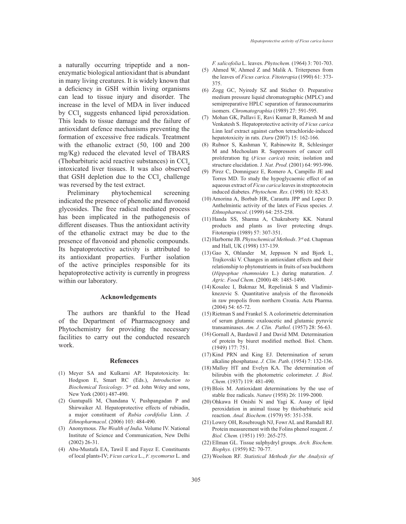a naturally occurring tripeptide and a nonenzymatic biological antioxidant that is abundant in many living creatures. It is widely known that a deficiency in GSH within living organisms can lead to tissue injury and disorder. The increase in the level of MDA in liver induced by CCl 4 suggests enhanced lipid peroxidation. This leads to tissue damage and the failure of antioxidant defence mechanisms preventing the formation of excessive free radicals. Treatment with the ethanolic extract (50, 100 and 200 mg/Kg) reduced the elevated level of TBARS (Thobarbituric acid reactive substances) in  $\text{CC}l_{4}$ intoxicated liver tissues. It was also observed that GSH depletion due to the  $\text{CCl}_4$  challenge was reversed by the test extract.

Preliminary phytochemical screening indicated the presence of phenolic and flavonoid glycosides. The free radical mediated process has been implicated in the pathogenesis of different diseases. Thus the antioxidant activity of the ethanolic extract may be due to the presence of flavonoid and phenolic compounds. Its hepatoprotective activity is attributed to its antioxidant properties. Further isolation of the active principles responsible for its hepatoprotective activity is currently in progress within our laboratory.

## **Acknowledgements**

The authors are thankful to the Head of the Department of Pharmacognosy and Phytochemistry for providing the necessary facilities to carry out the conducted research work.

#### **Refeneces**

- (1) Meyer SA and Kulkarni AP. Hepatotoxicity. In: Hodgson E, Smart RC (Eds.), *Introduction to Biochemical Toxicology*. 3<sup>rd</sup> ed. John Wiley and sons, New York (2001) 487-490.
- (2) Guntupalli M, Chandana V, Pushpangadan P and Shirwaiker AI. Hepatoprotective effects of rubiadin, a major constituent of *Rubia cordifolia* Linn. *J. Ethnopharmacol*. (2006) 103: 484-490.
- (3) Anonymous. *The Wealth of India*. Volume IV. National Institute of Science and Communication, New Delhi (2002) 26-31.
- Abu-Mustafa EA, Tawil E and Fayez E. Constituents (4) of local plants-IV; *Ficus carica* L., *F. sycomorus* L. and

*F. salicofolia* L. leaves. *Phytochem.* (1964) 3: 701-703.

- Ahmed W, Ahmed Z and Malik A. Triterpenes from (5) the leaves of *Ficus carica*. *Fitoterapia* (1990) 61: 373- 375.
- (6) Zogg GC, Nyiredy SZ and Sticher O. Preparative medium pressure liquid chromatographic (MPLC) and semipreparative HPLC separation of furanocoumarins isomers. *Chromatographia* (1989) 27: 591-595.
- (7) Mohan GK, Pallavi E, Ravi Kumar B, Ramesh M and Venkatesh S. Hepatoprotective activity of *Ficus carica* Linn leaf extract against carbon tetrachloride-induced hepatotoxicity in rats. *Daru* (2007) 15: 162-166.
- (8) Rubnor S, Kashman Y, Rabinowitz R, Schlesinger M and Mechoulam R. Suppressors of cancer cell proliferation fig (Ficus carica) resin; isolation and structure elucidation. J*. Nat. Prod*. (2001) 64: 993-996.
- (9) Pirez C, Domniguez E, Romero A, Campillo JE and Torres MD. To study the hypoglycaemic effect of an aqueous extract of *Ficus carica* leaves in streptozotocin induced diabetes. *Phytochem. Res*. (1998) 10: 82-83.
- (10) Amorina A, Borbab HR, Carautta JPP and Lopez D. Anthelmintic activity of the latex of Ficus species. *J. Ethnopharmcol*. (1999) 64: 255-258.
- (11) Handa SS, Sharma A, Chakraborty KK. Natural products and plants as liver protecting drugs. Fitoterapia (1989) 57: 307-351.
- (12) Harborne JB. Phytochemical Methods. 3rd ed. Chapman and Hall, UK (1998) 137-139.
- $(13)$  Gao X, Ohlander M, Jeppsson N and Bjork L, Trajkovski V. Changes in antioxidant effects and their relationship to phytonutrients in fruits of sea buckthorn (Hippophae rhamnoides L.) during maturation. J. *Agric. Food Chem*. (2000) 48: 1485-1490.
- (14) Kosalec I, Bakmaz M, Repeliniak S and Vladimirknezevic S. Quantitative analysis of the flavonoids in raw propolis from northern Croatia. Acta Pharma. (2004) 54: 65-72.
- (15) Rietman S and Frankel S. A colorimetric determination of serum glutamic oxaloacetic and glutamic pyruvic transaminases. *Am. J. Clin. Pathol.* (1957) 28: 56-63.
- (16) Gornall A, Bardawil J and David MM. Determination of protein by biuret modified method. Biol. Chem. (1949) 177: 751.
- $(17)$  Kind PRN and King EJ. Determination of serum alkaline phosphatase. *J. Clin. Path*. (1954) 7: 132-136.
- (18) Malloy HT and Evelyn KA. The determination of bilirubin with the photometric colorimeter. *J. Biol. Chem*. (1937) 119: 481-490.
- (19) Blois M. Antioxidant determinations by the use of stable free radicals. *Nature* (1958) 26: 1199-2000.
- (20) Ohkawa H Onishi N and Yagi K. Assay of lipid peroxidation in animal tissue by thiobarbituric acid reaction. *Anal. Biochem*. (1979) 95: 351-358.
- (21) Lowry OH, Rosebrough NJ, Fowr AL and Ramdall RJ. Protein measurement with the Folins phenol reagent. *J. Biol. Chem.* (1951) 193: 265-275.
- (22) Ellman GL. Tissue sulphydryl groups. Arch. Biochem. *Biophys.* (1959) 82: 70-77.
- Woolson RF. *Statistical Methods for the Analysis of* (23)